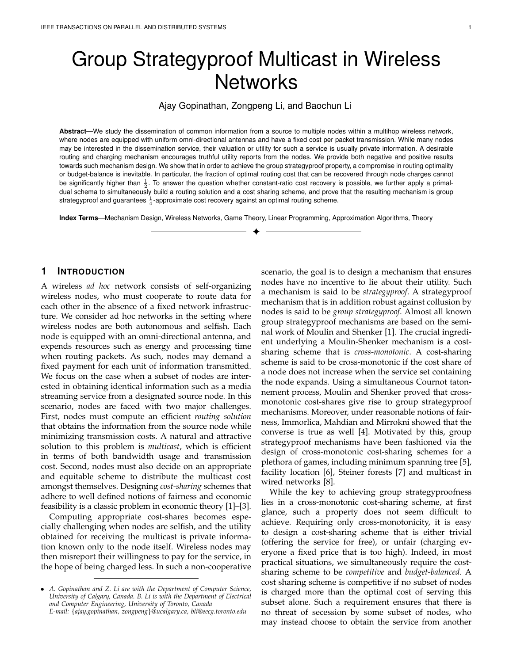# Group Strategyproof Multicast in Wireless **Networks**

Ajay Gopinathan, Zongpeng Li, and Baochun Li

**Abstract**—We study the dissemination of common information from a source to multiple nodes within a multihop wireless network, where nodes are equipped with uniform omni-directional antennas and have a fixed cost per packet transmission. While many nodes may be interested in the dissemination service, their valuation or utility for such a service is usually private information. A desirable routing and charging mechanism encourages truthful utility reports from the nodes. We provide both negative and positive results towards such mechanism design. We show that in order to achieve the group strategyproof property, a compromise in routing optimality or budget-balance is inevitable. In particular, the fraction of optimal routing cost that can be recovered through node charges cannot be significantly higher than  $\frac{1}{2}$ . To answer the question whether constant-ratio cost recovery is possible, we further apply a primaldual schema to simultaneously build a routing solution and a cost sharing scheme, and prove that the resulting mechanism is group strategyproof and guarantees  $\frac{1}{4}$ -approximate cost recovery against an optimal routing scheme.

**Index Terms**—Mechanism Design, Wireless Networks, Game Theory, Linear Programming, Approximation Algorithms, Theory

✦

## **1 INTRODUCTION**

A wireless *ad hoc* network consists of self-organizing wireless nodes, who must cooperate to route data for each other in the absence of a fixed network infrastructure. We consider ad hoc networks in the setting where wireless nodes are both autonomous and selfish. Each node is equipped with an omni-directional antenna, and expends resources such as energy and processing time when routing packets. As such, nodes may demand a fixed payment for each unit of information transmitted. We focus on the case when a subset of nodes are interested in obtaining identical information such as a media streaming service from a designated source node. In this scenario, nodes are faced with two major challenges. First, nodes must compute an efficient *routing solution* that obtains the information from the source node while minimizing transmission costs. A natural and attractive solution to this problem is *multicast*, which is efficient in terms of both bandwidth usage and transmission cost. Second, nodes must also decide on an appropriate and equitable scheme to distribute the multicast cost amongst themselves. Designing *cost-sharing* schemes that adhere to well defined notions of fairness and economic feasibility is a classic problem in economic theory [1]–[3].

Computing appropriate cost-shares becomes especially challenging when nodes are selfish, and the utility obtained for receiving the multicast is private information known only to the node itself. Wireless nodes may then misreport their willingness to pay for the service, in the hope of being charged less. In such a non-cooperative

scenario, the goal is to design a mechanism that ensures nodes have no incentive to lie about their utility. Such a mechanism is said to be *strategyproof*. A strategyproof mechanism that is in addition robust against collusion by nodes is said to be *group strategyproof*. Almost all known group strategyproof mechanisms are based on the seminal work of Moulin and Shenker [1]. The crucial ingredient underlying a Moulin-Shenker mechanism is a costsharing scheme that is *cross-monotonic*. A cost-sharing scheme is said to be cross-monotonic if the cost share of a node does not increase when the service set containing the node expands. Using a simultaneous Cournot tatonnement process, Moulin and Shenker proved that crossmonotonic cost-shares give rise to group strategyproof mechanisms. Moreover, under reasonable notions of fairness, Immorlica, Mahdian and Mirrokni showed that the converse is true as well [4]. Motivated by this, group strategyproof mechanisms have been fashioned via the design of cross-monotonic cost-sharing schemes for a plethora of games, including minimum spanning tree [5], facility location [6], Steiner forests [7] and multicast in wired networks [8].

While the key to achieving group strategyproofness lies in a cross-monotonic cost-sharing scheme, at first glance, such a property does not seem difficult to achieve. Requiring only cross-monotonicity, it is easy to design a cost-sharing scheme that is either trivial (offering the service for free), or unfair (charging everyone a fixed price that is too high). Indeed, in most practical situations, we simultaneously require the costsharing scheme to be *competitive* and *budget-balanced*. A cost sharing scheme is competitive if no subset of nodes is charged more than the optimal cost of serving this subset alone. Such a requirement ensures that there is no threat of secession by some subset of nodes, who may instead choose to obtain the service from another

<sup>•</sup> *A. Gopinathan and Z. Li are with the Department of Computer Science, University of Calgary, Canada. B. Li is with the Department of Electrical and Computer Engineering, University of Toronto, Canada E-mail:* {*ajay.gopinathan, zongpeng*}*@ucalgary.ca, bli@eecg.toronto.edu*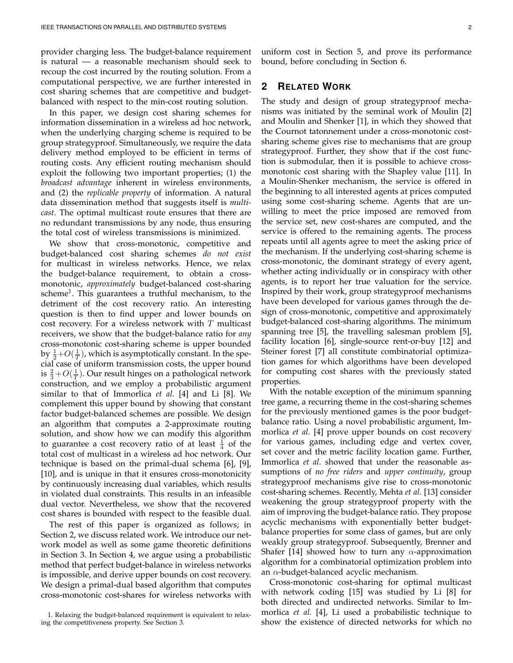provider charging less. The budget-balance requirement is natural — a reasonable mechanism should seek to recoup the cost incurred by the routing solution. From a computational perspective, we are further interested in cost sharing schemes that are competitive and budgetbalanced with respect to the min-cost routing solution.

In this paper, we design cost sharing schemes for information dissemination in a wireless ad hoc network, when the underlying charging scheme is required to be group strategyproof. Simultaneously, we require the data delivery method employed to be efficient in terms of routing costs. Any efficient routing mechanism should exploit the following two important properties; (1) the *broadcast advantage* inherent in wireless environments, and (2) the *replicable property* of information. A natural data dissemination method that suggests itself is *multicast*. The optimal multicast route ensures that there are no redundant transmissions by any node, thus ensuring the total cost of wireless transmissions is minimized.

We show that cross-monotonic, competitive and budget-balanced cost sharing schemes *do not exist* for multicast in wireless networks. Hence, we relax the budget-balance requirement, to obtain a crossmonotonic, *approximately* budget-balanced cost-sharing scheme<sup>1</sup>. This guarantees a truthful mechanism, to the detriment of the cost recovery ratio. An interesting question is then to find upper and lower bounds on cost recovery. For a wireless network with T multicast receivers, we show that the budget-balance ratio for *any* cross-monotonic cost-sharing scheme is upper bounded by  $\frac{1}{2}+O(\frac{1}{T})$ , which is asymptotically constant. In the special case of uniform transmission costs, the upper bound is  $\frac{2}{3}+O(\frac{1}{T})$ . Our result hinges on a pathological network construction, and we employ a probabilistic argument similar to that of Immorlica *et al.* [4] and Li [8]. We complement this upper bound by showing that constant factor budget-balanced schemes are possible. We design an algorithm that computes a 2-approximate routing solution, and show how we can modify this algorithm to guarantee a cost recovery ratio of at least  $\frac{1}{4}$  of the total cost of multicast in a wireless ad hoc network. Our technique is based on the primal-dual schema [6], [9], [10], and is unique in that it ensures cross-monotonicity by continuously increasing dual variables, which results in violated dual constraints. This results in an infeasible dual vector. Nevertheless, we show that the recovered cost shares is bounded with respect to the feasible dual.

The rest of this paper is organized as follows; in Section 2, we discuss related work. We introduce our network model as well as some game theoretic definitions in Section 3. In Section 4, we argue using a probabilistic method that perfect budget-balance in wireless networks is impossible, and derive upper bounds on cost recovery. We design a primal-dual based algorithm that computes cross-monotonic cost-shares for wireless networks with

1. Relaxing the budget-balanced requirement is equivalent to relaxing the competitiveness property. See Section 3.

uniform cost in Section 5, and prove its performance bound, before concluding in Section 6.

## **2 RELATED WORK**

The study and design of group strategyproof mechanisms was initiated by the seminal work of Moulin [2] and Moulin and Shenker [1], in which they showed that the Cournot tatonnement under a cross-monotonic costsharing scheme gives rise to mechanisms that are group strategyproof. Further, they show that if the cost function is submodular, then it is possible to achieve crossmonotonic cost sharing with the Shapley value [11]. In a Moulin-Shenker mechanism, the service is offered in the beginning to all interested agents at prices computed using some cost-sharing scheme. Agents that are unwilling to meet the price imposed are removed from the service set, new cost-shares are computed, and the service is offered to the remaining agents. The process repeats until all agents agree to meet the asking price of the mechanism. If the underlying cost-sharing scheme is cross-monotonic, the dominant strategy of every agent, whether acting individually or in conspiracy with other agents, is to report her true valuation for the service. Inspired by their work, group strategyproof mechanisms have been developed for various games through the design of cross-monotonic, competitive and approximately budget-balanced cost-sharing algorithms. The minimum spanning tree [5], the travelling salesman problem [5], facility location [6], single-source rent-or-buy [12] and Steiner forest [7] all constitute combinatorial optimization games for which algorithms have been developed for computing cost shares with the previously stated properties.

With the notable exception of the minimum spanning tree game, a recurring theme in the cost-sharing schemes for the previously mentioned games is the poor budgetbalance ratio. Using a novel probabilistic argument, Immorlica *et al.* [4] prove upper bounds on cost recovery for various games, including edge and vertex cover, set cover and the metric facility location game. Further, Immorlica *et al.* showed that under the reasonable assumptions of *no free riders* and *upper continuity*, group strategyproof mechanisms give rise to cross-monotonic cost-sharing schemes. Recently, Mehta *et al.* [13] consider weakening the group strategyproof property with the aim of improving the budget-balance ratio. They propose acyclic mechanisms with exponentially better budgetbalance properties for some class of games, but are only weakly group strategyproof. Subsequently, Brenner and Shafer [14] showed how to turn any  $\alpha$ -approximation algorithm for a combinatorial optimization problem into an  $\alpha$ -budget-balanced acyclic mechanism.

Cross-monotonic cost-sharing for optimal multicast with network coding [15] was studied by Li [8] for both directed and undirected networks. Similar to Immorlica *et al.* [4], Li used a probabilistic technique to show the existence of directed networks for which no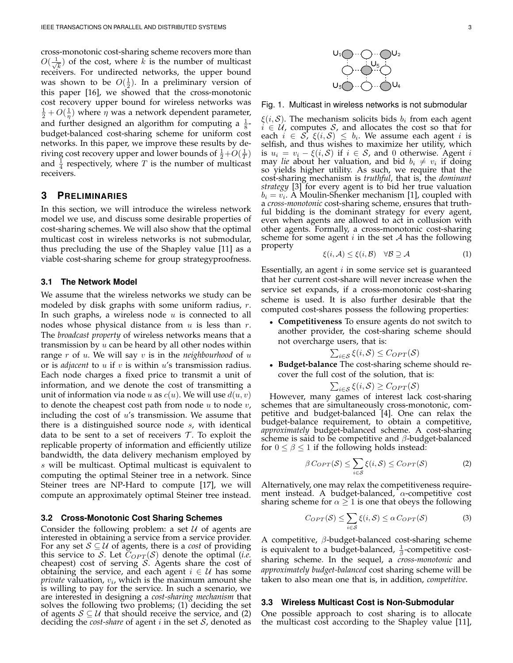cross-monotonic cost-sharing scheme recovers more than  $O(\frac{1}{\sqrt{2}})$  $(\frac{1}{k})$  of the cost, where k is the number of multicast receivers. For undirected networks, the upper bound was shown to be  $O(\frac{1}{2})$ . In a preliminary version of this paper [16], we showed that the cross-monotonic cost recovery upper bound for wireless networks was  $\frac{1}{2} + O(\frac{1}{\eta})$  where  $\eta$  was a network dependent parameter, and further designed an algorithm for computing a  $\frac{1}{8}$ budget-balanced cost-sharing scheme for uniform cost networks. In this paper, we improve these results by deriving cost recovery upper and lower bounds of  $\frac{1}{2}+O(\frac{1}{T})$ and  $\frac{1}{4}$  respectively, where T is the number of multicast receivers.

## **3 PRELIMINARIES**

In this section, we will introduce the wireless network model we use, and discuss some desirable properties of cost-sharing schemes. We will also show that the optimal multicast cost in wireless networks is not submodular, thus precluding the use of the Shapley value [11] as a viable cost-sharing scheme for group strategyproofness.

#### **3.1 The Network Model**

We assume that the wireless networks we study can be modeled by disk graphs with some uniform radius,  $r$ . In such graphs, a wireless node  $u$  is connected to all nodes whose physical distance from  $u$  is less than  $r$ . The *broadcast property* of wireless networks means that a transmission by  $u$  can be heard by all other nodes within range r of u. We will say v is in the *neighbourhood* of u or is *adjacent* to u if v is within u's transmission radius. Each node charges a fixed price to transmit a unit of information, and we denote the cost of transmitting a unit of information via node u as  $c(u)$ . We will use  $d(u, v)$ to denote the cheapest cost path from node  $u$  to node  $v$ , including the cost of u's transmission. We assume that there is a distinguished source node s, with identical data to be sent to a set of receivers  $\mathcal T$ . To exploit the replicable property of information and efficiently utilize bandwidth, the data delivery mechanism employed by s will be multicast. Optimal multicast is equivalent to computing the optimal Steiner tree in a network. Since Steiner trees are NP-Hard to compute [17], we will compute an approximately optimal Steiner tree instead.

#### **3.2 Cross-Monotonic Cost Sharing Schemes**

Consider the following problem: a set  $U$  of agents are interested in obtaining a service from a service provider. For any set  $S \subseteq U$  of agents, there is a *cost* of providing this service to S. Let  $\check{C}_{OPT}(\mathcal{S})$  denote the optimal (*i.e.* cheapest) cost of serving  $S$ . Agents share the cost of obtaining the service, and each agent  $i \in \mathcal{U}$  has some  $\emph{private}$  valuation,  $v_i$ , which is the maximum amount she is willing to pay for the service. In such a scenario, we are interested in designing a *cost-sharing mechanism* that solves the following two problems; (1) deciding the set of agents  $S \subseteq U$  that should receive the service, and (2) deciding the *cost-share* of agent *i* in the set *S*, denoted as



Fig. 1. Multicast in wireless networks is not submodular

 $\xi(i, S)$ . The mechanism solicits bids  $b_i$  from each agent  $i \in \mathcal{U}$ , computes S, and allocates the cost so that for each  $i \in \mathcal{S}$ ,  $\xi(i, \mathcal{S}) \leq b_i$ . We assume each agent i is selfish, and thus wishes to maximize her utility, which is  $u_i = v_i - \xi(i, S)$  if  $i \in S$ , and 0 otherwise. Agent i may *lie* about her valuation, and bid  $b_i \neq v_i$  if doing so yields higher utility. As such, we require that the cost-sharing mechanism is *truthful*, that is, the *dominant strategy* [3] for every agent is to bid her true valuation  $b_i = \tilde{v_i}$ . A Moulin-Shenker mechanism [1], coupled with a *cross-monotonic* cost-sharing scheme, ensures that truthful bidding is the dominant strategy for every agent, even when agents are allowed to act in collusion with other agents. Formally, a cross-monotonic cost-sharing scheme for some agent i in the set  $A$  has the following property

$$
\xi(i, \mathcal{A}) \leq \xi(i, \mathcal{B}) \quad \forall \mathcal{B} \supseteq \mathcal{A} \tag{1}
$$

Essentially, an agent  $i$  in some service set is guaranteed that her current cost-share will never increase when the service set expands, if a cross-monotonic cost-sharing scheme is used. It is also further desirable that the computed cost-shares possess the following properties:

• **Competitiveness** To ensure agents do not switch to another provider, the cost-sharing scheme should not overcharge users, that is:

$$
\sum_{i \in \mathcal{S}} \xi(i, \mathcal{S}) \leq C_{OPT}(\mathcal{S})
$$

• **Budget-balance** The cost-sharing scheme should recover the full cost of the solution, that is:

$$
\sum_{i \in \mathcal{S}} \xi(i, \mathcal{S}) \geq C_{OPT}(\mathcal{S})
$$

However, many games of interest lack cost-sharing schemes that are simultaneously cross-monotonic, competitive and budget-balanced [4]. One can relax the budget-balance requirement, to obtain a competitive, *approximately* budget-balanced scheme. A cost-sharing scheme is said to be competitive and  $\beta$ -budget-balanced for  $0 \le \beta \le 1$  if the following holds instead:

$$
\beta C_{OPT}(\mathcal{S}) \le \sum_{i \in \mathcal{S}} \xi(i, \mathcal{S}) \le C_{OPT}(\mathcal{S})
$$
 (2)

Alternatively, one may relax the competitiveness requirement instead. A budget-balanced,  $\alpha$ -competitive cost sharing scheme for  $\alpha \geq 1$  is one that obeys the following

$$
C_{OPT}(\mathcal{S}) \le \sum_{i \in \mathcal{S}} \xi(i, \mathcal{S}) \le \alpha C_{OPT}(\mathcal{S}) \tag{3}
$$

A competitive,  $\beta$ -budget-balanced cost-sharing scheme is equivalent to a budget-balanced,  $\frac{1}{\beta}$ -competitive costsharing scheme. In the sequel, a *cross-monotonic* and *approximately budget-balanced* cost sharing scheme will be taken to also mean one that is, in addition, *competitive*.

#### **3.3 Wireless Multicast Cost is Non-Submodular**

One possible approach to cost sharing is to allocate the multicast cost according to the Shapley value [11],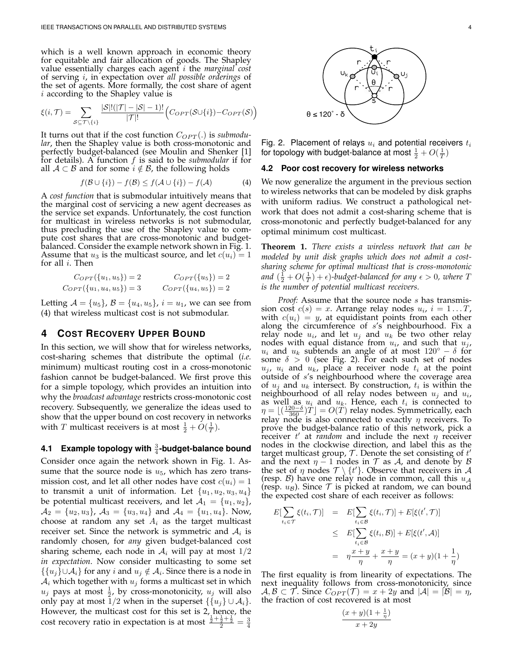which is a well known approach in economic theory for equitable and fair allocation of goods. The Shapley value essentially charges each agent i the *marginal cost* of serving i, in expectation over *all possible orderings* of the set of agents. More formally, the cost share of agent i according to the Shapley value is

$$
\xi(i,\mathcal{T}) = \sum_{\mathcal{S} \subseteq \mathcal{T} \setminus \{i\}} \frac{|\mathcal{S}|!(|\mathcal{T}|-|\mathcal{S}|-1)!}{|\mathcal{T}|!} \Big( C_{OPT}(\mathcal{S} \cup \{i\}) - C_{OPT}(\mathcal{S}) \Big)
$$

It turns out that if the cost function  $C_{OPT}(.)$  is *submodular*, then the Shapley value is both cross-monotonic and perfectly budget-balanced (see Moulin and Shenker [1] for details). A function f is said to be *submodular* if for all  $A \subset B$  and for some  $i \notin B$ , the following holds

$$
f(\mathcal{B} \cup \{i\}) - f(\mathcal{B}) \le f(\mathcal{A} \cup \{i\}) - f(\mathcal{A}) \tag{4}
$$

A *cost function* that is submodular intuitively means that the marginal cost of servicing a new agent decreases as the service set expands. Unfortunately, the cost function for multicast in wireless networks is not submodular, thus precluding the use of the Shapley value to compute cost shares that are cross-monotonic and budgetbalanced. Consider the example network shown in Fig. 1. Assume that  $u_3$  is the multicast source, and let  $c(u_i) = 1$ for all  $i$ . Then

$$
C_{OPT}(\{u_1, u_5\}) = 2
$$
  
\n
$$
C_{OPT}(\{u_1, u_4, u_5\}) = 3
$$
  
\n
$$
C_{OPT}(\{u_4, u_5\}) = 2
$$

Letting  $A = \{u_5\}$ ,  $B = \{u_4, u_5\}$ ,  $i = u_1$ , we can see from (4) that wireless multicast cost is not submodular.

### **4 COST RECOVERY UPPER BOUND**

In this section, we will show that for wireless networks, cost-sharing schemes that distribute the optimal (*i.e.* minimum) multicast routing cost in a cross-monotonic fashion cannot be budget-balanced. We first prove this for a simple topology, which provides an intuition into why the *broadcast advantage* restricts cross-monotonic cost recovery. Subsequently, we generalize the ideas used to show that the upper bound on cost recovery in networks with T multicast receivers is at most  $\frac{1}{2} + O(\frac{1}{T})$ .

## **4.1** Example topology with  $\frac{3}{4}$ -budget-balance bound

Consider once again the network shown in Fig. 1. Assume that the source node is  $u_5$ , which has zero transmission cost, and let all other nodes have cost  $c(u_i) = 1$ to transmit a unit of information. Let  $\{u_1, u_2, u_3, u_4\}$ be potential multicast receivers, and let  $A_1 = \{u_1, u_2\}$ ,  $A_2 = \{u_2, u_3\}, A_3 = \{u_3, u_4\}$  and  $A_4 = \{u_1, u_4\}.$  Now, choose at random any set  $A_i$  as the target multicast receiver set. Since the network is symmetric and  $\mathcal{A}_i$  is randomly chosen, for *any* given budget-balanced cost sharing scheme, each node in  $A_i$  will pay at most  $1/2$ *in expectation*. Now consider multicasting to some set  $\{\{u_j\}\cup\mathcal{A}_i\}$  for any i and  $u_j \notin \mathcal{A}_i$ . Since there is a node in  $A_i$  which together with  $u_i$  forms a multicast set in which  $u_j$  pays at most  $\frac{1}{2}$ , by cross-monotonicity,  $u_j$  will also only pay at most 1/2 when in the superset  $\{\{u_j\} \cup A_i\}.$ However, the multicast cost for this set is 2, hence, the cost recovery ratio in expectation is at most  $\frac{\frac{1}{2} + \frac{1}{2} + \frac{1}{2}}{2} = \frac{3}{4}$ 



Fig. 2. Placement of relays  $u_i$  and potential receivers  $t_i$ for topology with budget-balance at most  $\frac{1}{2} + O(\frac{1}{T})$ 

#### **4.2 Poor cost recovery for wireless networks**

We now generalize the argument in the previous section to wireless networks that can be modeled by disk graphs with uniform radius. We construct a pathological network that does not admit a cost-sharing scheme that is cross-monotonic and perfectly budget-balanced for any optimal minimum cost multicast.

**Theorem 1.** *There exists a wireless network that can be modeled by unit disk graphs which does not admit a costsharing scheme for optimal multicast that is cross-monotonic* and  $(\frac{1}{2} + O(\frac{1}{T}) + \epsilon)$ -budget-balanced for any  $\epsilon > 0$ , where T *is the number of potential multicast receivers.*

*Proof:* Assume that the source node s has transmission cost  $c(s) = x$ . Arrange relay nodes  $u_i$ ,  $i = 1...T$ , with  $c(u_i) = y$ , at equidistant points from each other along the circumference of  $s's$  neighbourhood. Fix a relay node  $u_i$ , and let  $u_j$  and  $u_k$  be two other relay nodes with equal distance from  $u_i$ , and such that  $u_j$ ,  $u_i$  and  $u_k$  subtends an angle of at most  $120^\circ - \delta$  for some  $\delta > 0$  (see Fig. 2). For each such set of nodes  $u_j$ ,  $u_i$  and  $u_k$ , place a receiver node  $t_i$  at the point outside of s's neighbourhood where the coverage area of  $u_j$  and  $u_k$  intersect. By construction,  $t_i$  is within the neighbourhood of all relay nodes between  $u_j$  and  $u_i$ , as well as  $u_i$  and  $u_k$ . Hence, each  $t_i$  is connected to  $\eta = \lfloor (\frac{120-\delta}{360})T \rfloor = O(T)$  relay nodes. Symmetrically, each relay node is also connected to exactly  $\eta$  receivers. To prove the budget-balance ratio of this network, pick a receiver  $t'$  at *random* and include the next  $\eta$  receiver nodes in the clockwise direction, and label this as the target multicast group,  $\mathcal T$ . Denote the set consisting of  $t'$ and the next  $\eta - 1$  nodes in  $\tau$  as A, and denote by B the set of  $\eta$  nodes  $\mathcal{T} \setminus \{t'\}$ . Observe that receivers in A (resp. B) have one relay node in common, call this  $u<sub>A</sub>$ (resp.  $u_B$ ). Since  $\mathcal T$  is picked at random, we can bound the expected cost share of each receiver as follows:

$$
E[\sum_{t_i \in \mathcal{T}} \xi(t_i, \mathcal{T})] = E[\sum_{t_i \in \mathcal{B}} \xi(t_i, \mathcal{T})] + E[\xi(t', \mathcal{T})]
$$
  

$$
\leq E[\sum_{t_i \in \mathcal{B}} \xi(t_i, \mathcal{B})] + E[\xi(t', \mathcal{A})]
$$
  

$$
= \eta \frac{x + y}{\eta} + \frac{x + y}{\eta} = (x + y)(1 + \frac{1}{\eta})
$$

The first equality is from linearity of expectations. The next inequality follows from cross-monotonicity, since  $A, B \subset \mathcal{T}$ . Since  $C_{OPT}(\mathcal{T}) = x + 2y$  and  $|A| = |B| = \eta$ , the fraction of cost recovered is at most

$$
\frac{(x+y)(1+\frac{1}{\eta})}{x+2y}
$$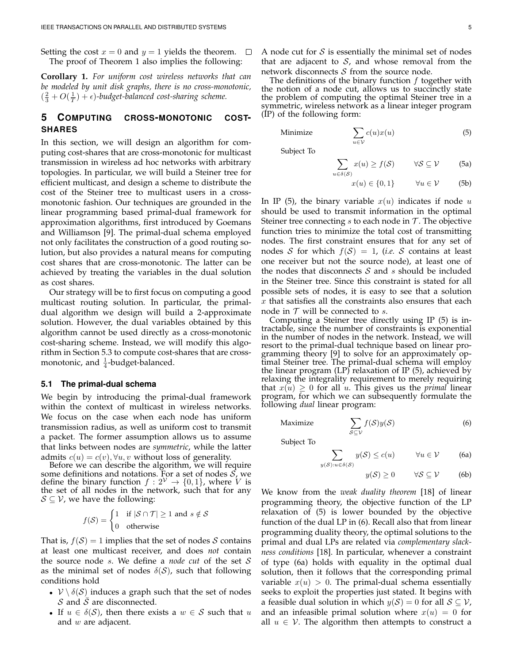Setting the cost  $x = 0$  and  $y = 1$  yields the theorem.  $\Box$ The proof of Theorem 1 also implies the following:

**Corollary 1.** *For uniform cost wireless networks that can be modeled by unit disk graphs, there is no cross-monotonic,*  $(\frac{2}{3} + O(\frac{1}{T}) + \epsilon)$ -budget-balanced cost-sharing scheme.

## **5 COMPUTING CROSS-MONOTONIC COST-SHARES**

In this section, we will design an algorithm for computing cost-shares that are cross-monotonic for multicast transmission in wireless ad hoc networks with arbitrary topologies. In particular, we will build a Steiner tree for efficient multicast, and design a scheme to distribute the cost of the Steiner tree to multicast users in a crossmonotonic fashion. Our techniques are grounded in the linear programming based primal-dual framework for approximation algorithms, first introduced by Goemans and Williamson [9]. The primal-dual schema employed not only facilitates the construction of a good routing solution, but also provides a natural means for computing cost shares that are cross-monotonic. The latter can be achieved by treating the variables in the dual solution as cost shares.

Our strategy will be to first focus on computing a good multicast routing solution. In particular, the primaldual algorithm we design will build a 2-approximate solution. However, the dual variables obtained by this algorithm cannot be used directly as a cross-monotonic cost-sharing scheme. Instead, we will modify this algorithm in Section 5.3 to compute cost-shares that are crossmonotonic, and  $\frac{1}{4}$ -budget-balanced.

#### **5.1 The primal-dual schema**

We begin by introducing the primal-dual framework within the context of multicast in wireless networks. We focus on the case when each node has uniform transmission radius, as well as uniform cost to transmit a packet. The former assumption allows us to assume that links between nodes are *symmetric*, while the latter admits  $c(u) = c(v)$ ,  $\forall u, v$  without loss of generality.

Before we can describe the algorithm, we will require some definitions and notations. For a set of nodes  $S$ , we define the binary function  $f: 2^{\mathcal{V}} \to \{0,1\}$ , where V is the set of all nodes in the network, such that for any  $S \subset V$ , we have the following:

$$
f(\mathcal{S}) = \begin{cases} 1 & \text{if } |\mathcal{S} \cap \mathcal{T}| \ge 1 \text{ and } s \notin \mathcal{S} \\ 0 & \text{otherwise} \end{cases}
$$

That is,  $f(\mathcal{S}) = 1$  implies that the set of nodes S contains at least one multicast receiver, and does *not* contain the source node s. We define a *node cut* of the set S as the minimal set of nodes  $\delta(S)$ , such that following conditions hold

- $V \setminus \delta(S)$  induces a graph such that the set of nodes  $S$  and  $\overline{S}$  are disconnected.
- If  $u \in \delta(\mathcal{S})$ , then there exists a  $w \in \mathcal{S}$  such that u and  $w$  are adjacent.

A node cut for  $S$  is essentially the minimal set of nodes that are adjacent to  $S$ , and whose removal from the network disconnects  $S$  from the source node.

The definitions of the binary function  $f$  together with the notion of a node cut, allows us to succinctly state the problem of computing the optimal Steiner tree in a symmetric, wireless network as a linear integer program (IP) of the following form:

Minimize 
$$
\sum_{u \in V} c(u)x(u) \tag{5}
$$

Subject To

$$
\sum_{u \in \delta(\mathcal{S})} x(u) \ge f(\mathcal{S}) \qquad \forall \mathcal{S} \subseteq \mathcal{V} \qquad (5a)
$$

$$
x(u) \in \{0, 1\} \qquad \forall u \in \mathcal{V} \qquad (5b)
$$

In IP (5), the binary variable  $x(u)$  indicates if node u should be used to transmit information in the optimal Steiner tree connecting  $s$  to each node in  $\mathcal T$ . The objective function tries to minimize the total cost of transmitting nodes. The first constraint ensures that for any set of nodes S for which  $f(S) = 1$ , (*i.e.* S contains at least one receiver but not the source node), at least one of the nodes that disconnects  $S$  and  $s$  should be included in the Steiner tree. Since this constraint is stated for all possible sets of nodes, it is easy to see that a solution  $x$  that satisfies all the constraints also ensures that each node in  $T$  will be connected to s.

Computing a Steiner tree directly using IP (5) is intractable, since the number of constraints is exponential in the number of nodes in the network. Instead, we will resort to the primal-dual technique based on linear programming theory [9] to solve for an approximately optimal Steiner tree. The primal-dual schema will employ the linear program (LP) relaxation of IP (5), achieved by relaxing the integrality requirement to merely requiring that  $x(u) \geq 0$  for all u. This gives us the *primal* linear program, for which we can subsequently formulate the following *dual* linear program:

$$
\text{Maximize} \qquad \qquad \sum_{\mathcal{S} \subseteq \mathcal{V}} f(\mathcal{S}) y(\mathcal{S}) \tag{6}
$$

Subject To

$$
\sum_{y(S): u \in \delta(S)} y(S) \le c(u) \qquad \forall u \in \mathcal{V} \qquad \text{(6a)}
$$

$$
y(\mathcal{S}) \geq 0 \qquad \forall \mathcal{S} \subseteq \mathcal{V} \qquad \text{(6b)}
$$

We know from the *weak duality theorem* [18] of linear programming theory, the objective function of the LP relaxation of (5) is lower bounded by the objective function of the dual LP in (6). Recall also that from linear programming duality theory, the optimal solutions to the primal and dual LPs are related via *complementary slackness conditions* [18]. In particular, whenever a constraint of type (6a) holds with equality in the optimal dual solution, then it follows that the corresponding primal variable  $x(u) > 0$ . The primal-dual schema essentially seeks to exploit the properties just stated. It begins with a feasible dual solution in which  $y(S) = 0$  for all  $S \subseteq V$ , and an infeasible primal solution where  $x(u) = 0$  for all  $u \in V$ . The algorithm then attempts to construct a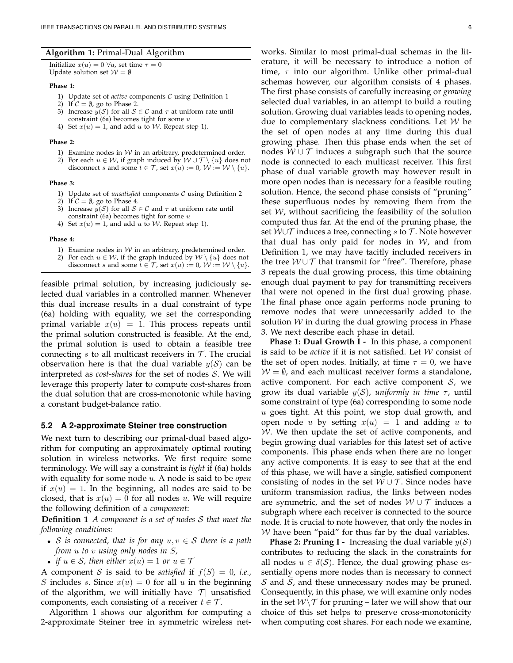#### **Algorithm 1:** Primal-Dual Algorithm

Initialize  $x(u) = 0 \,\forall u$ , set time  $\tau = 0$ Update solution set  $W = \emptyset$ 

#### **Phase 1:**

- 1) Update set of *active* components C using Definition 1
- 2) If  $\mathcal{C} = \emptyset$ , go to Phase 2.
- 3) Increase  $y(S)$  for all  $S \in \mathcal{C}$  and  $\tau$  at uniform rate until constraint (6a) becomes tight for some  $u$
- 4) Set  $x(u) = 1$ , and add u to W. Repeat step 1).

#### **Phase 2:**

- 1) Examine nodes in  $W$  in an arbitrary, predetermined order.
- 2) For each  $u \in W$ , if graph induced by  $W \cup \mathcal{T} \setminus \{u\}$  does not disconnect s and some  $t \in \mathcal{T}$ , set  $x(u) := 0$ ,  $\mathcal{W} := \mathcal{W} \setminus \{u\}.$

#### **Phase 3:**

- 1) Update set of *unsatisfied* components C using Definition 2
- 2) If  $\mathcal{C} = \emptyset$ , go to Phase 4.
- 3) Increase  $y(S)$  for all  $S \in \mathcal{C}$  and  $\tau$  at uniform rate until constraint (6a) becomes tight for some  $u$
- 4) Set  $x(u) = 1$ , and add u to W. Repeat step 1).

#### **Phase 4:**

- 1) Examine nodes in  ${\mathcal W}$  in an arbitrary, predetermined order.
- 2) For each  $u \in W$ , if the graph induced by  $W \setminus \{u\}$  does not disconnect s and some  $t \in \mathcal{T}$ , set  $x(u) := 0$ ,  $\mathcal{W} := \mathcal{W} \setminus \{u\}.$

feasible primal solution, by increasing judiciously selected dual variables in a controlled manner. Whenever this dual increase results in a dual constraint of type (6a) holding with equality, we set the corresponding primal variable  $x(u) = 1$ . This process repeats until the primal solution constructed is feasible. At the end, the primal solution is used to obtain a feasible tree connecting  $s$  to all multicast receivers in  $\mathcal T$ . The crucial observation here is that the dual variable  $y(S)$  can be interpreted as *cost-shares* for the set of nodes S. We will leverage this property later to compute cost-shares from the dual solution that are cross-monotonic while having a constant budget-balance ratio.

#### **5.2 A 2-approximate Steiner tree construction**

We next turn to describing our primal-dual based algorithm for computing an approximately optimal routing solution in wireless networks. We first require some terminology. We will say a constraint is *tight* if (6a) holds with equality for some node u. A node is said to be *open* if  $x(u) = 1$ . In the beginning, all nodes are said to be closed, that is  $x(u) = 0$  for all nodes u. We will require the following definition of a *component*:

**Definition 1** *A component is a set of nodes* S *that meet the following conditions:*

- S *is connected, that is for any* u, v ∈ S *there is a path from* u *to* v *using only nodes in* S*,*
- *if*  $u \in S$ *, then either*  $x(u) = 1$  *or*  $u \in T$

A component *S* is said to be *satisfied* if  $f(S) = 0$ , *i.e.*, S includes s. Since  $x(u) = 0$  for all u in the beginning of the algorithm, we will initially have  $|T|$  unsatisfied components, each consisting of a receiver  $t \in \mathcal{T}$ .

Algorithm 1 shows our algorithm for computing a 2-approximate Steiner tree in symmetric wireless net-

works. Similar to most primal-dual schemas in the literature, it will be necessary to introduce a notion of time,  $\tau$  into our algorithm. Unlike other primal-dual schemas however, our algorithm consists of 4 phases. The first phase consists of carefully increasing or *growing* selected dual variables, in an attempt to build a routing solution. Growing dual variables leads to opening nodes, due to complementary slackness conditions. Let  $W$  be the set of open nodes at any time during this dual growing phase. Then this phase ends when the set of nodes  $W \cup T$  induces a subgraph such that the source node is connected to each multicast receiver. This first phase of dual variable growth may however result in more open nodes than is necessary for a feasible routing solution. Hence, the second phase consists of "pruning" these superfluous nodes by removing them from the set  $W$ , without sacrificing the feasibility of the solution computed thus far. At the end of the pruning phase, the set  $W\cup T$  induces a tree, connecting s to T. Note however that dual has only paid for nodes in  $W$ , and from Definition 1, we may have tacitly included receivers in the tree  $W \cup T$  that transmit for "free". Therefore, phase 3 repeats the dual growing process, this time obtaining enough dual payment to pay for transmitting receivers that were not opened in the first dual growing phase. The final phase once again performs node pruning to remove nodes that were unnecessarily added to the solution  $W$  in during the dual growing process in Phase 3. We next describe each phase in detail.

**Phase 1: Dual Growth I -** In this phase, a component is said to be *active* if it is not satisfied. Let W consist of the set of open nodes. Initially, at time  $\tau = 0$ , we have  $W = \emptyset$ , and each multicast receiver forms a standalone, active component. For each active component  $S$ , we grow its dual variable  $y(S)$ , *uniformly in time*  $\tau$ , until some constraint of type (6a) corresponding to some node  $u$  goes tight. At this point, we stop dual growth, and open node u by setting  $x(u) = 1$  and adding u to  $W$ . We then update the set of active components, and begin growing dual variables for this latest set of active components. This phase ends when there are no longer any active components. It is easy to see that at the end of this phase, we will have a single, satisfied component consisting of nodes in the set  $W \cup T$ . Since nodes have uniform transmission radius, the links between nodes are symmetric, and the set of nodes  $W \cup T$  induces a subgraph where each receiver is connected to the source node. It is crucial to note however, that only the nodes in W have been "paid" for thus far by the dual variables.

**Phase 2: Pruning I -** Increasing the dual variable  $y(S)$ contributes to reducing the slack in the constraints for all nodes  $u \in \delta(\mathcal{S})$ . Hence, the dual growing phase essentially opens more nodes than is necessary to connect  $S$  and  $S$ , and these unnecessary nodes may be pruned. Consequently, in this phase, we will examine only nodes in the set  $W \setminus T$  for pruning – later we will show that our choice of this set helps to preserve cross-monotonicity when computing cost shares. For each node we examine,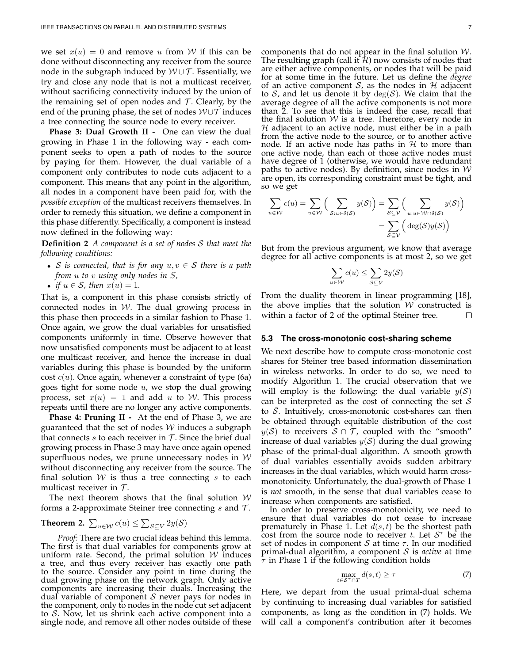we set  $x(u) = 0$  and remove u from W if this can be done without disconnecting any receiver from the source node in the subgraph induced by  $W\cup\mathcal{T}$ . Essentially, we try and close any node that is not a multicast receiver, without sacrificing connectivity induced by the union of the remaining set of open nodes and  $\mathcal T$ . Clearly, by the end of the pruning phase, the set of nodes  $W \cup T$  induces a tree connecting the source node to every receiver.

**Phase 3: Dual Growth II -** One can view the dual growing in Phase 1 in the following way - each component seeks to open a path of nodes to the source by paying for them. However, the dual variable of a component only contributes to node cuts adjacent to a component. This means that any point in the algorithm, all nodes in a component have been paid for, with the *possible exception* of the multicast receivers themselves. In order to remedy this situation, we define a component in this phase differently. Specifically, a component is instead now defined in the following way:

**Definition 2** *A component is a set of nodes* S *that meet the following conditions:*

- S *is connected, that is for any* u, v ∈ S *there is a path from* u *to* v *using only nodes in* S*,*
- *if*  $u \in S$ *, then*  $x(u) = 1$ *.*

That is, a component in this phase consists strictly of connected nodes in  $W$ . The dual growing process in this phase then proceeds in a similar fashion to Phase 1. Once again, we grow the dual variables for unsatisfied components uniformly in time. Observe however that now unsatisfied components must be adjacent to at least one multicast receiver, and hence the increase in dual variables during this phase is bounded by the uniform cost  $c(u)$ . Once again, whenever a constraint of type (6a) goes tight for some node  $u$ , we stop the dual growing process, set  $x(u) = 1$  and add u to W. This process repeats until there are no longer any active components.

**Phase 4: Pruning II -** At the end of Phase 3, we are guaranteed that the set of nodes  $W$  induces a subgraph that connects  $s$  to each receiver in  $T$ . Since the brief dual growing process in Phase 3 may have once again opened superfluous nodes, we prune unnecessary nodes in  $W$ without disconnecting any receiver from the source. The final solution  $W$  is thus a tree connecting  $s$  to each multicast receiver in  $\mathcal{T}$ .

The next theorem shows that the final solution  $W$ forms a 2-approximate Steiner tree connecting s and  $\mathcal{T}$ .

## **Theorem 2.**  $\sum_{u \in \mathcal{W}} c(u) \leq \sum_{S \subseteq V} 2y(\mathcal{S})$

*Proof:* There are two crucial ideas behind this lemma. The first is that dual variables for components grow at uniform rate. Second, the primal solution  $W$  induces a tree, and thus every receiver has exactly one path to the source. Consider any point in time during the dual growing phase on the network graph. Only active components are increasing their duals. Increasing the dual variable of component  $S$  never pays for nodes in the component, only to nodes in the node cut set adjacent to S. Now, let us shrink each active component into a single node, and remove all other nodes outside of these

components that do not appear in the final solution  $W$ . The resulting graph (call it  $\hat{\mathcal{H}}$ ) now consists of nodes that are either active components, or nodes that will be paid for at some time in the future. Let us define the *degree* of an active component S, as the nodes in  $H$  adjacent to S, and let us denote it by  $deg(S)$ . We claim that the average degree of all the active components is not more than 2. To see that this is indeed the case, recall that the final solution  $W$  is a tree. Therefore, every node in  $H$  adjacent to an active node, must either be in a path from the active node to the source, or to another active node. If an active node has paths in  $H$  to more than one active node, than each of those active nodes must have degree of 1 (otherwise, we would have redundant paths to active nodes). By definition, since nodes in  $W$ are open, its corresponding constraint must be tight, and so we get

$$
\sum_{u \in \mathcal{W}} c(u) = \sum_{u \in \mathcal{W}} \Big( \sum_{S: u \in \delta(S)} y(S) \Big) = \sum_{S \subseteq \mathcal{V}} \Big( \sum_{u: u \in \mathcal{W} \cap \delta(S)} y(S) \Big) \n= \sum_{S \subseteq \mathcal{V}} \Big( \deg(S)y(S) \Big)
$$

But from the previous argument, we know that average degree for all active components is at most 2, so we get

$$
\sum_{u \in \mathcal{W}} c(u) \le \sum_{\mathcal{S} \subseteq \mathcal{V}} 2y(\mathcal{S})
$$

From the duality theorem in linear programming [18], the above implies that the solution  $W$  constructed is within a factor of 2 of the optimal Steiner tree.  $\Box$ 

#### **5.3 The cross-monotonic cost-sharing scheme**

We next describe how to compute cross-monotonic cost shares for Steiner tree based information dissemination in wireless networks. In order to do so, we need to modify Algorithm 1. The crucial observation that we will employ is the following: the dual variable  $y(S)$ can be interpreted as the cost of connecting the set  $S$ to  $S$ . Intuitively, cross-monotonic cost-shares can then be obtained through equitable distribution of the cost  $y(S)$  to receivers  $S \cap T$ , coupled with the "smooth" increase of dual variables  $y(S)$  during the dual growing phase of the primal-dual algorithm. A smooth growth of dual variables essentially avoids sudden arbitrary increases in the dual variables, which would harm crossmonotonicity. Unfortunately, the dual-growth of Phase 1 is *not* smooth, in the sense that dual variables cease to increase when components are satisfied.

In order to preserve cross-monotonicity, we need to ensure that dual variables do not cease to increase prematurely in Phase 1. Let  $d(s, t)$  be the shortest path cost from the source node to receiver t. Let  $S^{\tau}$  be the set of nodes in component  $S$  at time  $\tau$ . In our modified primal-dual algorithm, a component S is *active* at time  $\tau$  in Phase 1 if the following condition holds

$$
\max_{t \in \mathcal{S}^{\tau} \cap T} d(s, t) \ge \tau \tag{7}
$$

Here, we depart from the usual primal-dual schema by continuing to increasing dual variables for satisfied components, as long as the condition in (7) holds. We will call a component's contribution after it becomes